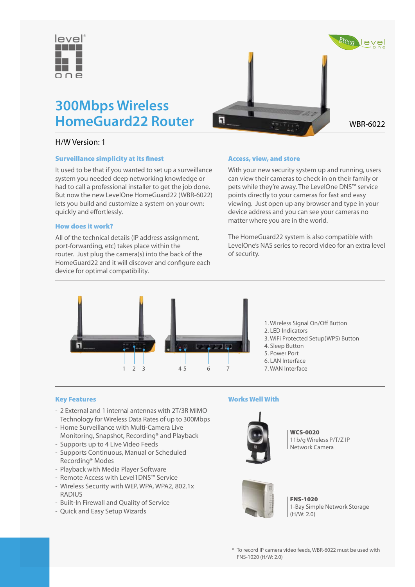

# **300Mbps Wireless HomeGuard22 Router**  $\overline{u}$

# H/W Version: 1

# Surveillance simplicity at its finest

It used to be that if you wanted to set up a surveillance system you needed deep networking knowledge or had to call a professional installer to get the job done. But now the new LevelOne HomeGuard22 (WBR-6022) lets you build and customize a system on your own: quickly and effortlessly.

#### How does it work?

All of the technical details (IP address assignment, port-forwarding, etc) takes place within the router. Just plug the camera(s) into the back of the HomeGuard22 and it will discover and configure each device for optimal compatibility.

### Access, view, and store

With your new security system up and running, users can view their cameras to check in on their family or pets while they're away. The LevelOne DNS™ service points directly to your cameras for fast and easy viewing. Just open up any browser and type in your device address and you can see your cameras no matter where you are in the world.

The HomeGuard22 system is also compatible with LevelOne's NAS series to record video for an extra level of security.



1. Wireless Signal On/Off Button

- 2. LED Indicators
- 3. WiFi Protected Setup(WPS) Button
- 4. Sleep Button
- 5. Power Port
- 6. LAN Interface
- 7. WAN Interface

# Key Features

- 2 External and 1 internal antennas with 2T/3R MIMO Technology for Wireless Data Rates of up to 300Mbps
- Home Surveillance with Multi-Camera Live Monitoring, Snapshot, Recording\* and Playback
- Supports up to 4 Live Video Feeds
- Supports Continuous, Manual or Scheduled Recording\* Modes
- Playback with Media Player Software
- Remote Access with Level1DNS™ Service
- Wireless Security with WEP, WPA, WPA2, 802.1x RADIUS
- Built-In Firewall and Quality of Service
- Quick and Easy Setup Wizards

# Works Well With



WCS-0020 11b/g Wireless P/T/Z IP Network Camera



FNS-1020 1-Bay Simple Network Storage (H/W: 2.0)

\* To record IP camera video feeds, WBR-6022 must be used with FNS-1020 (H/W: 2.0)

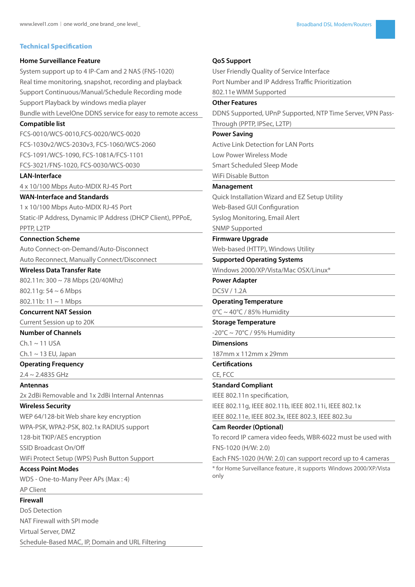#### Technical Specification

#### **Home Surveillance Feature**

System support up to 4 IP-Cam and 2 NAS (FNS-1020) Real time monitoring, snapshot, recording and playback Support Continuous/Manual/Schedule Recording mode Support Playback by windows media player Bundle with LevelOne DDNS service for easy to remote access

#### **Compatible list**

FCS-0010/WCS-0010,FCS-0020/WCS-0020 FCS-1030v2/WCS-2030v3, FCS-1060/WCS-2060 FCS-1091/WCS-1090, FCS-1081A/FCS-1101 FCS-3021/FNS-1020, FCS-0030/WCS-0030

#### **LAN-Interface**

4 x 10/100 Mbps Auto-MDIX RJ-45 Port

#### **WAN-Interface and Standards**

1 x 10/100 Mbps Auto-MDIX RJ-45 Port Static-IP Address, Dynamic IP Address (DHCP Client), PPPoE, PPTP, L2TP

#### **Connection Scheme**

Auto Connect-on-Demand/Auto-Disconnect Auto Reconnect, Manually Connect/Disconnect

# **Wireless Data Transfer Rate**

802.11n: 300 ~ 78 Mbps (20/40Mhz) 802.11g:  $54 \sim 6$  Mbps 802.11b: 11 ~ 1 Mbps

# **Concurrent NAT Session**

Current Session up to 20K

# **Number of Channels**

 $Ch1 \sim 11$  USA

# $Ch.1 \sim 13$  EU, Japan

**Operating Frequency**

2.4 ~ 2.4835 GHz

# **Antennas**

2x 2dBi Removable and 1x 2dBi Internal Antennas

#### **Wireless Security**

WEP 64/128-bit Web share key encryption WPA-PSK, WPA2-PSK, 802.1x RADIUS support 128-bit TKIP/AES encryption SSID Broadcast On/Off

WiFi Protect Setup (WPS) Push Button Support

# **Access Point Modes**

WDS - One-to-Many Peer APs (Max : 4)

# AP Client

**Firewall** DoS Detection NAT Firewall with SPI mode Virtual Server, DMZ Schedule-Based MAC, IP, Domain and URL Filtering

# **QoS Support**

User Friendly Quality of Service Interface Port Number and IP Address Traffic Prioritization 802.11e WMM Supported **Other Features**

DDNS Supported, UPnP Supported, NTP Time Server, VPN Pass-Through (PPTP, IPSec, L2TP)

# **Power Saving**

Active Link Detection for LAN Ports

Low Power Wireless Mode

Smart Scheduled Sleep Mode

WiFi Disable Button

# **Management**

Quick Installation Wizard and EZ Setup Utility Web-Based GUI Configuration Syslog Monitoring, Email Alert SNMP Supported

#### **Firmware Upgrade**

Web-based (HTTP), Windows Utility

#### **Supported Operating Systems**

Windows 2000/XP/Vista/Mac OSX/Linux\*

# **Power Adapter**

DC5V / 1.2A

#### **Operating Temperature**

0°C ~ 40°C / 85% Humidity

#### **Storage Temperature**

 $-20^{\circ}$ C ~ 70 $^{\circ}$ C / 95% Humidity

# **Dimensions**

187mm x 112mm x 29mm

# **Certifications**

CE, FCC

# **Standard Compliant**

IEEE 802.11n specification,

IEEE 802.11g, IEEE 802.11b, IEEE 802.11i, IEEE 802.1x IEEE 802.11e, IEEE 802.3x, IEEE 802.3, IEEE 802.3u

# **Cam Reorder (Optional)**

To record IP camera video feeds, WBR-6022 must be used with FNS-1020 (H/W: 2.0)

Each FNS-1020 (H/W: 2.0) can support record up to 4 cameras

\* for Home Surveillance feature , it supports Windows 2000/XP/Vista only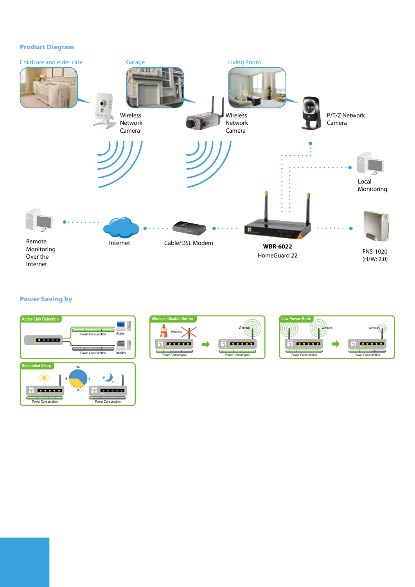# Product Diagram



# Power Saving by